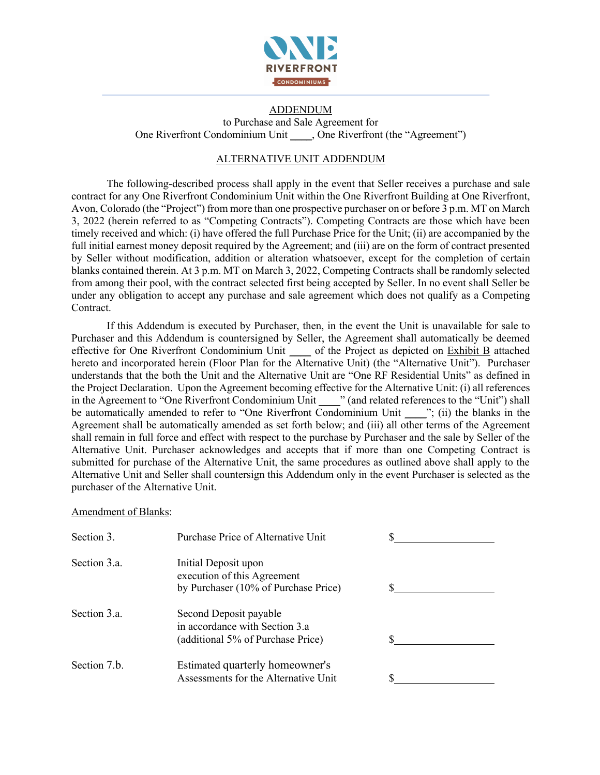

# ADDENDUM

to Purchase and Sale Agreement for One Riverfront Condominium Unit \_\_\_\_, One Riverfront (the "Agreement")

## ALTERNATIVE UNIT ADDENDUM

The following-described process shall apply in the event that Seller receives a purchase and sale contract for any One Riverfront Condominium Unit within the One Riverfront Building at One Riverfront, Avon, Colorado (the "Project") from more than one prospective purchaser on or before 3 p.m. MT on March 3, 2022 (herein referred to as "Competing Contracts"). Competing Contracts are those which have been timely received and which: (i) have offered the full Purchase Price for the Unit; (ii) are accompanied by the full initial earnest money deposit required by the Agreement; and (iii) are on the form of contract presented by Seller without modification, addition or alteration whatsoever, except for the completion of certain blanks contained therein. At 3 p.m. MT on March 3, 2022, Competing Contracts shall be randomly selected from among their pool, with the contract selected first being accepted by Seller. In no event shall Seller be under any obligation to accept any purchase and sale agreement which does not qualify as a Competing Contract.

If this Addendum is executed by Purchaser, then, in the event the Unit is unavailable for sale to Purchaser and this Addendum is countersigned by Seller, the Agreement shall automatically be deemed effective for One Riverfront Condominium Unit \_\_\_\_ of the Project as depicted on Exhibit B attached hereto and incorporated herein (Floor Plan for the Alternative Unit) (the "Alternative Unit"). Purchaser understands that the both the Unit and the Alternative Unit are "One RF Residential Units" as defined in the Project Declaration. Upon the Agreement becoming effective for the Alternative Unit: (i) all references in the Agreement to "One Riverfront Condominium Unit \_\_\_\_" (and related references to the "Unit") shall be automatically amended to refer to "One Riverfront Condominium Unit \_\_\_\_"; (ii) the blanks in the Agreement shall be automatically amended as set forth below; and (iii) all other terms of the Agreement shall remain in full force and effect with respect to the purchase by Purchaser and the sale by Seller of the Alternative Unit. Purchaser acknowledges and accepts that if more than one Competing Contract is submitted for purchase of the Alternative Unit, the same procedures as outlined above shall apply to the Alternative Unit and Seller shall countersign this Addendum only in the event Purchaser is selected as the purchaser of the Alternative Unit.

Amendment of Blanks:

| Section 3.   | Purchase Price of Alternative Unit                  |  |
|--------------|-----------------------------------------------------|--|
| Section 3.a. | Initial Deposit upon<br>execution of this Agreement |  |
|              | by Purchaser (10% of Purchase Price)                |  |
| Section 3.a. | Second Deposit payable                              |  |
|              | in accordance with Section 3.a                      |  |
|              | (additional 5% of Purchase Price)                   |  |
| Section 7.b. | Estimated quarterly homeowner's                     |  |
|              | Assessments for the Alternative Unit                |  |